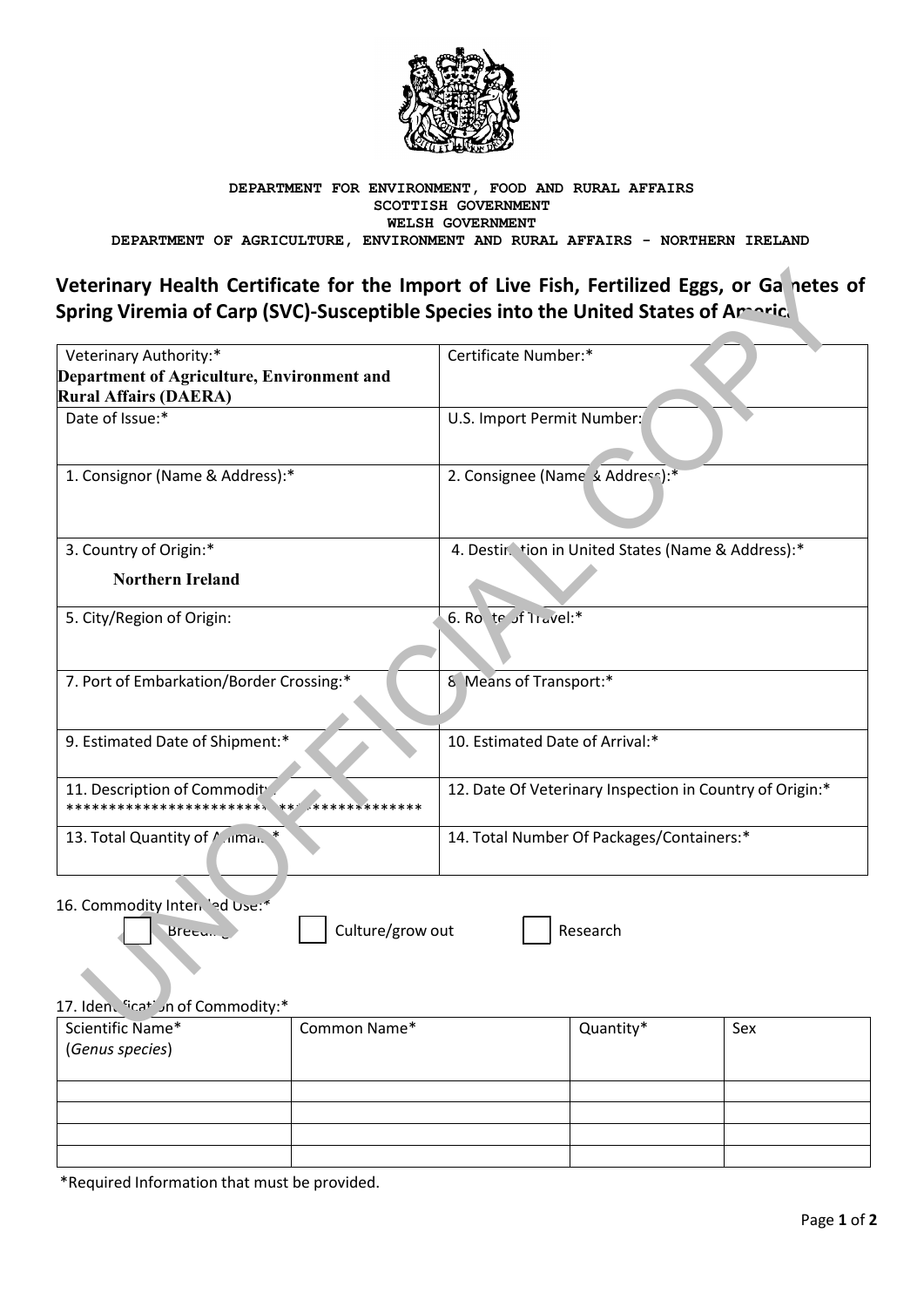

### DEPARTMENT FOR ENVIRONMENT, FOOD AND RURAL AFFAIRS SCOTTISH GOVERNMENT WELSH GOVERNMENT DEPARTMENT OF AGRICULTURE, ENVIRONMENT AND RURAL AFFAIRS - NORTHERN IRELAND

# Veterinary Health Certificate for the Import of Live Fish, Fertilized Eggs, or Ganetes of Spring Viremia of Carp (SVC)-Susceptible Species into the United States of Amaric.

| Veterinary Authority:*                                                          | Certificate Number:*                                     |
|---------------------------------------------------------------------------------|----------------------------------------------------------|
| Department of Agriculture, Environment and                                      |                                                          |
| <b>Rural Affairs (DAERA)</b>                                                    |                                                          |
| Date of Issue:*                                                                 | U.S. Import Permit Number:                               |
| 1. Consignor (Name & Address):*                                                 | 2. Consignee (Name & Address):*                          |
| 3. Country of Origin:*                                                          | 4. Destir tion in United States (Name & Address):*       |
| <b>Northern Ireland</b>                                                         |                                                          |
| 5. City/Region of Origin:                                                       | 6. Ro. te of Travel:*                                    |
| 7. Port of Embarkation/Border Crossing:*                                        | 8 Means of Transport:*                                   |
| 9. Estimated Date of Shipment:*                                                 | 10. Estimated Date of Arrival:*                          |
| 11. Description of Commodity<br>**************<br>***************************** | 12. Date Of Veterinary Inspection in Country of Origin:* |
| 13. Total Quantity of <i>Manus</i>                                              | 14. Total Number Of Packages/Containers:*                |
|                                                                                 |                                                          |

16. Commodity Intendinal Use:\*

Breeu...

Culture/grow out

Research

## 17. Iden. "icat" in of Commodity:\*

| Scientific Name*<br>(Genus species) | Common Name* | Quantity* | Sex |
|-------------------------------------|--------------|-----------|-----|
|                                     |              |           |     |
|                                     |              |           |     |
|                                     |              |           |     |
|                                     |              |           |     |
|                                     |              |           |     |

\*Required Information that must be provided.